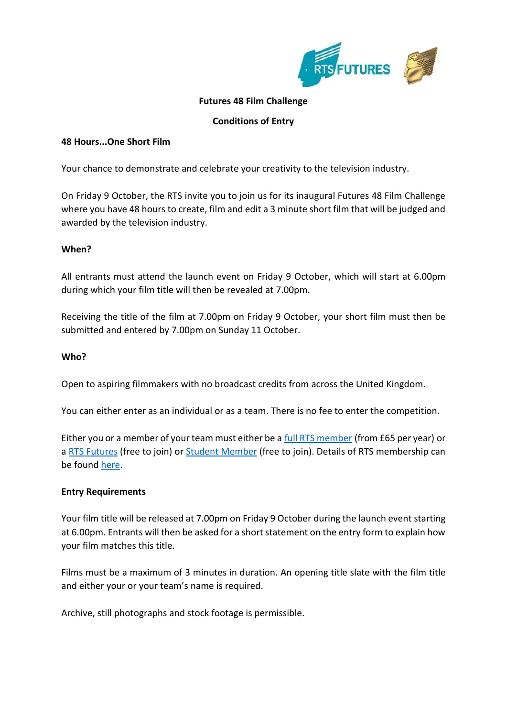

# **Futures 48 Film Challenge**

## **Conditions of Entry**

### **48 Hours...One Short Film**

Your chance to demonstrate and celebrate your creativity to the television industry.

On Friday 9 October, the RTS invite you to join us for its inaugural Futures 48 Film Challenge where you have 48 hours to create, film and edit a 3 minute short film that will be judged and awarded by the television industry.

### **When?**

All entrants must attend the launch event on Friday 9 October, which will start at 6.00pm during which your film title will then be revealed at 7.00pm.

Receiving the title of the film at 7.00pm on Friday 9 October, your short film must then be submitted and entered by 7.00pm on Sunday 11 October.

#### **Who?**

Open to aspiring filmmakers with no broadcast credits from across the United Kingdom.

You can either enter as an individual or as a team. There is no fee to enter the competition.

Either you or a member of your team must either be a [full RTS member](https://rts.org.uk/membership/types-of-membership) (from £65 per year) or a [RTS Futures](https://rts.org.uk/membership/types-of-membership) (free to join) or [Student Member](https://rts.org.uk/membership/types-of-membership) (free to join). Details of RTS membership can be found [here.](https://rts.org.uk/membership/join-us)

## **Entry Requirements**

Your film title will be released at 7.00pm on Friday 9 October during the launch event starting at 6.00pm. Entrants will then be asked for a short statement on the entry form to explain how your film matches this title.

Films must be a maximum of 3 minutes in duration. An opening title slate with the film title and either your or your team's name is required.

Archive, still photographs and stock footage is permissible.